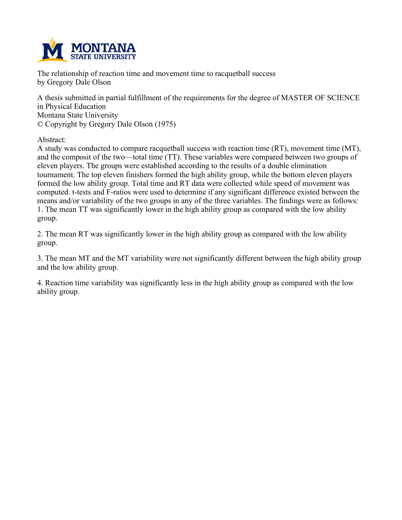

**The relationship of reaction time and movement time to racquetball success by Gregory Dale Olson**

**A thesis submitted in partial fulfillment of the requirements for the degree of MASTER OF SCIENCE in Physical Education Montana State University © Copyright by Gregory Dale Olson (1975)**

**Abstract:**

**A study was conducted to compare racquetball success with reaction time (RT), movement time (MT), and the composit of the two—total time (TT). These variables were compared between two groups of eleven players. The groups were established according to the results of a double elimination tournament. The top eleven finishers formed the high ability group, while the bottom eleven players formed the low ability group. Total time and RT data were collected while speed of movement was computed. t-tests and F-ratios were used to determine if any significant difference existed between the** means and/or variability of the two groups in any of the three variables. The findings were as follows: **1. The mean TT was significantly lower in the high ability group as compared with the low ability group.**

**2. The mean RT was significantly lower in the high ability group as compared with the low ability group.**

**3. The mean MT and the MT variability were not significantly different between the high ability group and the low ability group.**

**4. Reaction time variability was significantly less in the high ability group as compared with the low ability group.**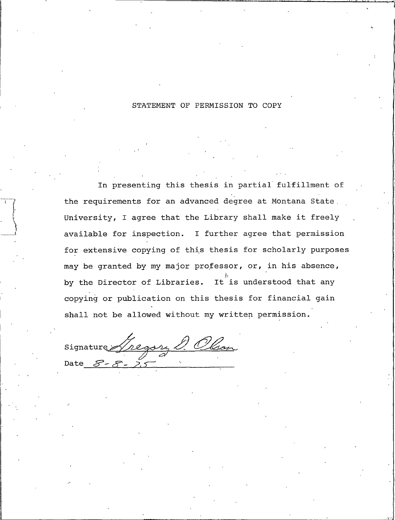#### STATEMENT OF PERMISSION TO COPY

In presenting this thesis in partial fulfillment of the requirements for an advanced degree at Montana State, University, I agree that the Library shall make it freely available for inspection. I further agree that permission for extensive copying of this thesis for scholarly purposes may be granted by my major professor, or, in his absence, by the Director of Libraries. It is understood that any copying or publication on this thesis for financial gain shall not be allowed without my written permission.

Signature Gregory D. Olson Date  $\mathcal{S}$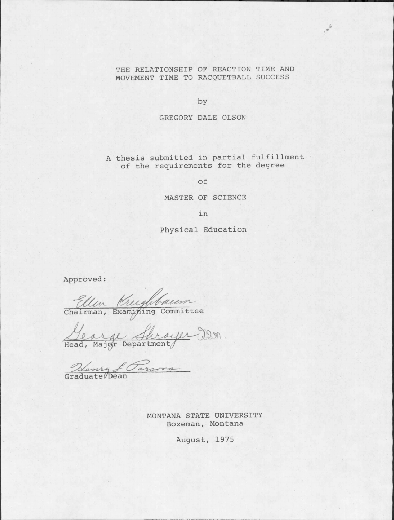#### THE RELATIONSHIP OF REACTION TIME AND MOVEMENT TIME TO RACQUETBALL SUCCESS

 $1^{e^{6}}$ 

by

#### GREGORY DALE OLSON

A thesis submitted in partial fulfillment of the requirements for the degree

of

#### MASTER OF SCIENCE

in

Physical Education

Approved:

Ellen Kreighbaum

George Shrayer Den.

Newy f Parsons

MONTANA STATE UNIVERSITY Bozeman, Montana

August, 1975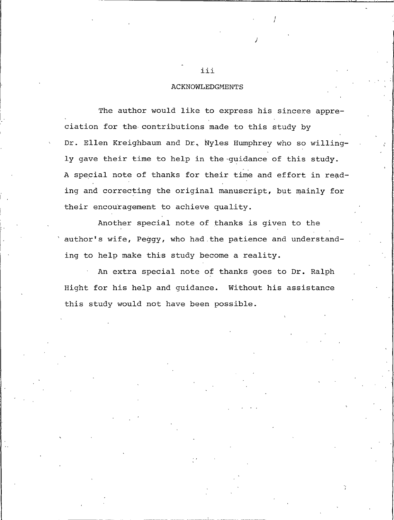#### **ACKNOWLEDGMENTS**

The author would like to express his sincere appreciation for the contributions made to this study by Dr. Ellen Kreighbaum and Dr. Nyles Humphrey who so willingly gave their time to help in the guidance of this study. A special note of thanks for their time and effort in reading and correcting the original manuscript, but mainly for their encouragement to achieve quality.

Another special note of thanks is given to the author's wife, Peggy, who had the patience and understanding to help make this study become a reality.

An extra special note of thanks goes to Dr. Ralph Hight for his help and guidance. Without his assistance this study would not have been possible.

iii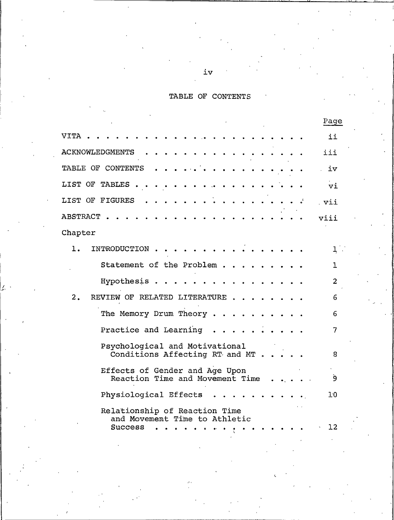# TABLE OF CONTENTS

|                                                                                  | Page           |
|----------------------------------------------------------------------------------|----------------|
| VITA                                                                             | ii             |
| <b>ACKNOWLEDGMENTS</b>                                                           | iii            |
| TABLE OF CONTENTS                                                                | iv             |
| LIST OF TABLES                                                                   | vi             |
| LIST OF FIGURES                                                                  | vii            |
| ABSTRACT.                                                                        | viii           |
| Chapter                                                                          |                |
| INTRODUCTION.<br>ı.                                                              | $1$ .          |
| Statement of the Problem                                                         | 1.             |
| Hypothesis.                                                                      | $\overline{2}$ |
| 2.<br>REVIEW OF RELATED LITERATURE.                                              | 6              |
| The Memory Drum Theory                                                           | 6              |
| Practice and Learning                                                            | 7              |
| Psychological and Motivational<br>Conditions Affecting RT and MT.                | 8              |
| Effects of Gender and Age Upon<br>Reaction Time and Movement Time                | 9              |
| Physiological Effects                                                            | 10             |
| Relationship of Reaction Time<br>and Movement Time to Athletic<br><b>Success</b> | 12             |
|                                                                                  |                |

 $\mathbf{Z}^{\dagger}$ 

 $\texttt{i}\texttt{v}$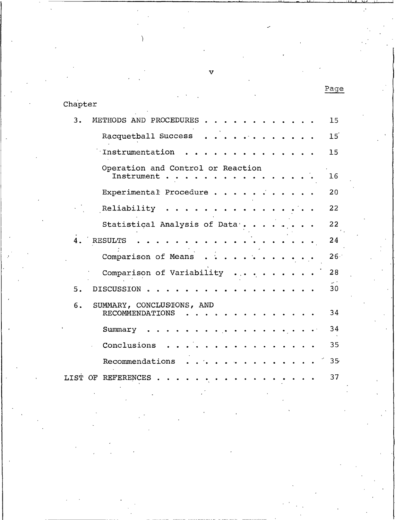| Chapter |                                                     |                 |
|---------|-----------------------------------------------------|-----------------|
| 3.      | METHODS AND PROCEDURES                              | 15              |
|         | Racquetball Success                                 | $15^{'}$        |
|         | Instrumentation                                     | 15              |
|         | Operation and Control or Reaction<br>Instrument     | 16              |
|         | Experimental Procedure                              | 20              |
|         | Reliability                                         | 22              |
|         | Statistical Analysis of Data.                       | 22              |
| 4.      | <b>RESULTS</b>                                      | 24              |
|         | Comparison of Means                                 | $26 -$          |
|         | Comparison of Variability                           | 28              |
| 5.      | <b>DISCUSSION</b>                                   | 30              |
| 6.      | SUMMARY, CONCLUSTONS, AND<br><b>RECOMMENDATIONS</b> | 34              |
|         | Summary                                             | 34              |
|         | Conclusions                                         | 35              |
|         | Recommendations                                     | 35 <sub>1</sub> |
| LIST OF | <b>REFERENCES</b>                                   | 37              |

v

Page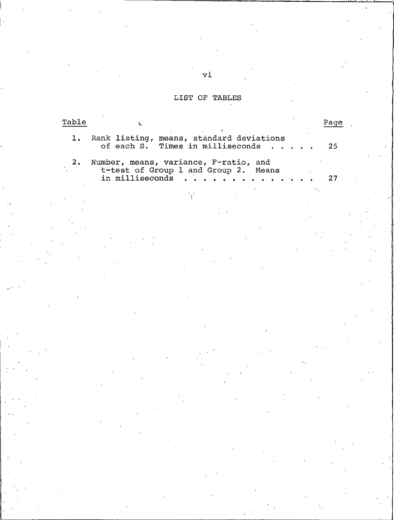# LIST OF TABLES

| Table | ž.                                                                                               | Page |
|-------|--------------------------------------------------------------------------------------------------|------|
| 1.    | Rank listing, means, standard deviations<br>of each S. Times in milliseconds                     | 25   |
| 2.    | Number, means, variance, F-ratio, and<br>t-test of Group 1 and Group 2. Means<br>in milliseconds | 27   |
|       | $\mathbf{Y}$                                                                                     |      |
|       |                                                                                                  |      |
|       |                                                                                                  |      |
|       |                                                                                                  |      |
|       |                                                                                                  |      |
|       |                                                                                                  |      |
|       |                                                                                                  |      |
|       |                                                                                                  |      |
|       |                                                                                                  |      |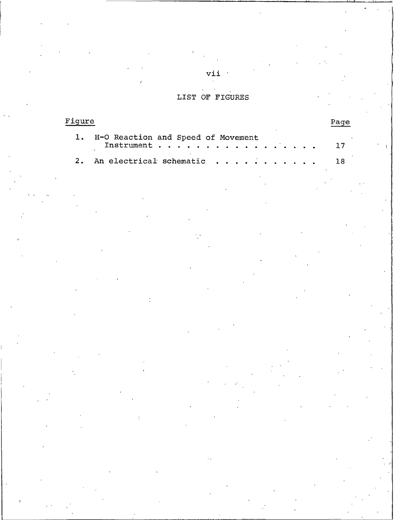# LIST OF FIGURES

| Figure |                                                                                                                                                                |  |  |  |  |  |
|--------|----------------------------------------------------------------------------------------------------------------------------------------------------------------|--|--|--|--|--|
|        | 1. H-O Reaction and Speed of Movement<br>$\texttt{Instrument} \cdot \cdot \cdot \cdot \cdot \cdot \cdot \cdot \cdot \cdot \cdot \cdot \cdot \cdot \cdot \cdot$ |  |  |  |  |  |
|        |                                                                                                                                                                |  |  |  |  |  |

 $vii$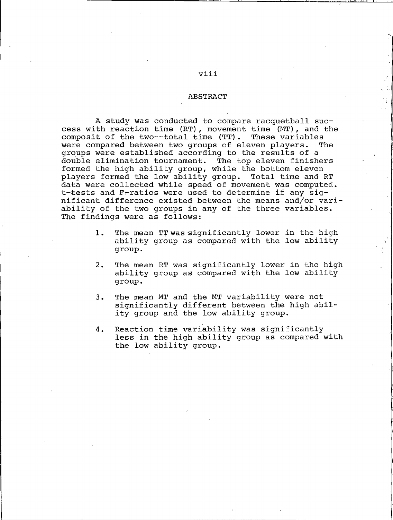#### **ABSTRACT**

A study was conducted to compare racquetball success with reaction time (RT), movement time (MT), and the composit of the two--total time (TT). These variables were compared between two groups of eleven players. The groups were established according to the results of a double elimination tournament. The top eleven finishers formed the high ability group, while the bottom eleven players formed the low ability group. Total time and RT data were collected while speed of movement was computed. t-tests and F-ratios were used to determine if any significant difference existed between the means and/or variability of the two groups in any of the three variables. The findings were as follows:

- The mean TT was significantly lower in the high  $1.$ ability group as compared with the low ability group.
- $2.$ The mean RT was significantly lower in the high ability group as compared with the low ability group.
- $3.$ The mean MT and the MT variability were not significantly different between the high ability group and the low ability group.
- Reaction time variability was significantly 4. less in the high ability group as compared with the low ability group.

# viii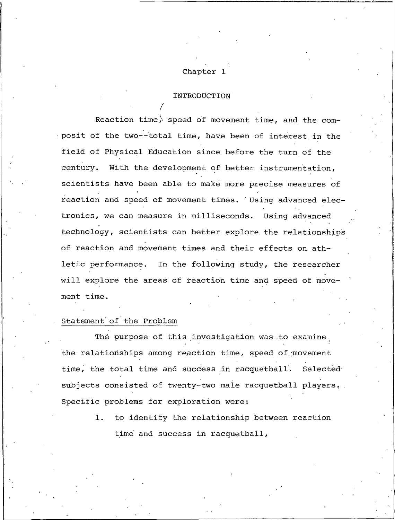# Chapter 1

#### **INTRODUCTION**

Reaction time, speed of movement time, and the composit of the two--total time, have been of interest in the field of Physical Education since before the turn of the century. With the development of better instrumentation, scientists have been able to make more precise measures of reaction and speed of movement times. Using advanced electronics, we can measure in milliseconds. Using advanced technology, scientists can better explore the relationships of reaction and movement times and their effects on athletic performance. In the following study, the researcher will explore the areas of reaction time and speed of movement time.

#### Statement of the Problem

The purpose of this investigation was to examine the relationships among reaction time, speed of movement time, the total time and success in racquetball. Selected subjects consisted of twenty-two male racquetball players. Specific problems for exploration were:

> $1.$ to identify the relationship between reaction time and success in racquetball,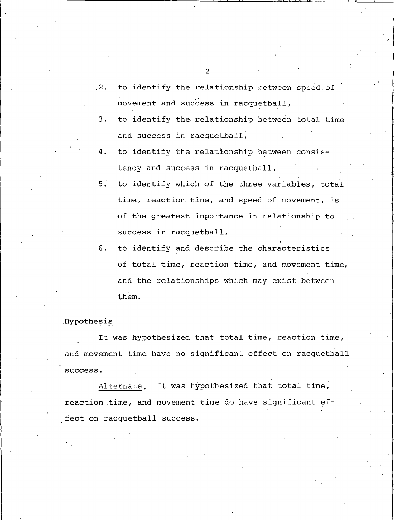- to identify the relationship between speed of  $2.2$ movement and success in racquetball,
- to identify the relationship between total time  $3.$ and success in racquetball,
- 4. to identify the relationship between consistency and success in racquetball,
- $5.$ to identify which of the three variables, total time, reaction time, and speed of movement, is of the greatest importance in relationship to success in racquetball,
- to identify and describe the characteristics 6. of total time, reaction time, and movement time, and the relationships which may exist between them.

#### Hypothesis

It was hypothesized that total time, reaction time, and movement time have no significant effect on racquetball success.

It was hypothesized that total time, Alternate. reaction time, and movement time do have significant effect on racquetball success.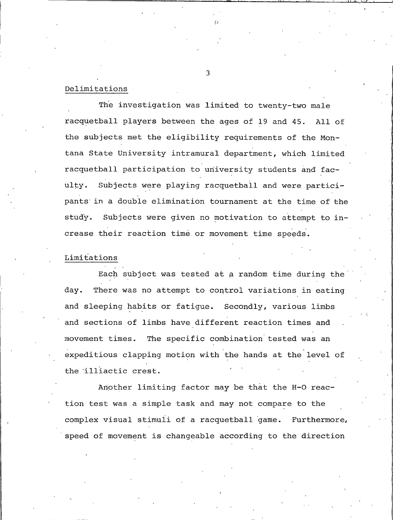#### Delimitations

The investigation was limited to twenty-two male racquetball players between the ages of 19 and 45. All of the subjects met the eligibility requirements of the Montana State University intramural department, which limited racquetball participation to university students and fac-Subjects were playing racquetball and were particiulty. pants in a double elimination tournament at the time of the study. Subjects were given no motivation to attempt to increase their reaction time or movement time speeds.

### Limitations

Each subject was tested at a random time during the day. There was no attempt to control variations in eating and sleeping habits or fatigue. Secondly, various limbs and sections of limbs have different reaction times and The specific combination tested was an movement times. expeditious clapping motion with the hands at the level of the illiactic crest.

Another limiting factor may be that the H-O reaction test was a simple task and may not compare to the complex visual stimuli of a racquetball game. Furthermore, speed of movement is changeable according to the direction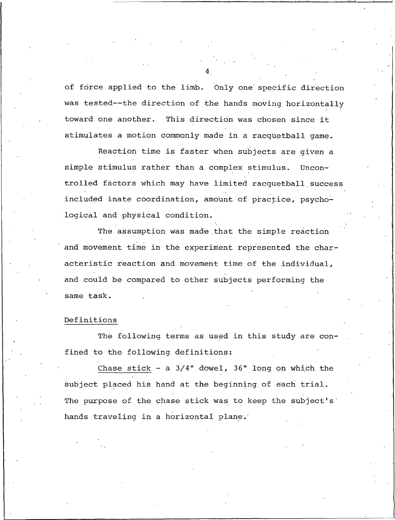of force applied to the limb. Only one specific direction was tested--the direction of the hands moving horizontally toward one another. This direction was chosen since it stimulates a motion commonly made in a racquetball game.

Reaction time is faster when subjects are given a simple stimulus rather than a complex stimulus. Uncontrolled factors which may have limited racquetball success included inate coordination, amount of practice, psychological and physical condition.

The assumption was made that the simple reaction and movement time in the experiment represented the characteristic reaction and movement time of the individual, and could be compared to other subjects performing the same task.

#### Definitions

The following terms as used in this study are confined to the following definitions:

Chase stick - a  $3/4$ " dowel,  $36$ " long on which the subject placed his hand at the beginning of each trial. The purpose of the chase stick was to keep the subject's hands traveling in a horizontal plane.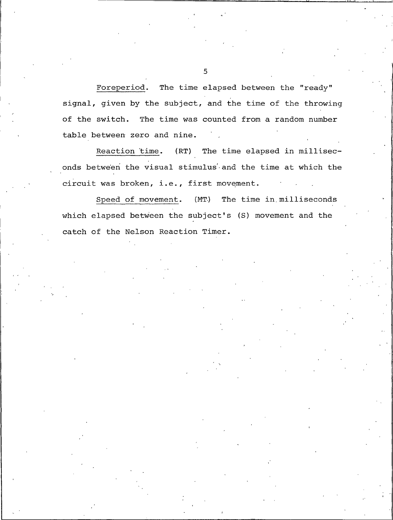Foreperiod. The time elapsed between the "ready" signal, given by the subject, and the time of the throwing of the switch. The time was counted from a random number table between zero and nine.

Reaction time. (RT) The time elapsed in milliseconds between the visual stimulus and the time at which the circuit was broken, i.e., first movement.

Speed of movement.  $(MT)$ The time in milliseconds which elapsed between the subject's (S) movement and the catch of the Nelson Reaction Timer.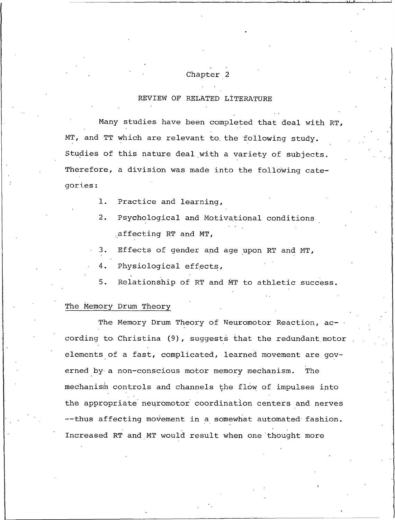# Chapter 2

## REVIEW OF RELATED LITERATURE

Many studies have been completed that deal with RT, MT, and TT which are relevant to the following study. Studies of this nature deal with a variety of subjects. Therefore, a division was made into the following categories:

- $1.$ Practice and learning,
- Psychological and Motivational conditions  $2.$ affecting RT and MT,
- Effects of gender and age upon RT and MT,  $3.$
- 4. Physiological effects,
- $5.$ Relationship of RT and MT to athletic success.

#### The Memory Drum Theory

The Memory Drum Theory of Neuromotor Reaction, according to Christina (9), suggests that the redundant motor elements of a fast, complicated, learned movement are governed by a non-conscious motor memory mechanism. The mechanism controls and channels the flow of impulses into the appropriate neuromotor coordination centers and nerves --thus affecting movement in a somewhat automated fashion. Increased RT and MT would result when one thought more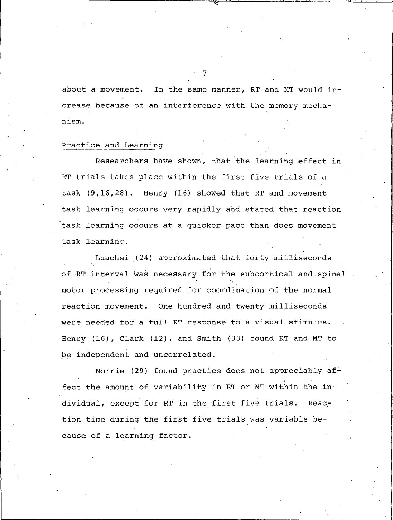about a movement. In the same manner, RT and MT would increase because of an interference with the memory mechanism.

#### Practice and Learning

Researchers have shown, that the learning effect in RT trials takes place within the first five trials of a task (9,16,28). Henry (16) showed that RT and movement task learning occurs very rapidly and stated that reaction task learning occurs at a quicker pace than does movement task learning.

Luachei (24) approximated that forty milliseconds of RT interval was necessary for the subcortical and spinal motor processing required for coordination of the normal reaction movement. One hundred and twenty milliseconds were needed for a full RT response to a visual stimulus. Henry (16), Clark (12), and Smith (33) found RT and MT to be independent and uncorrelated.

Norrie (29) found practice does not appreciably affect the amount of variability in RT or MT within the individual, except for RT in the first five trials. Reaction time during the first five trials was variable because of a learning factor.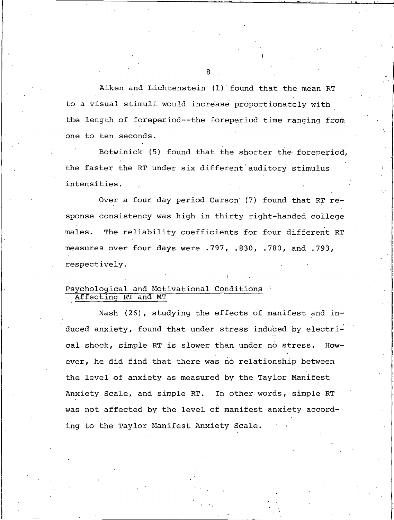Aiken and Lichtenstein (1) found that the mean RT to a visual stimuli would increase proportionately with the length of foreperiod--the foreperiod time ranging from one to ten seconds.

Botwinick (5) found that the shorter the foreperiod, the faster the RT under six different auditory stimulus intensities.

Over a four day period Carson (7) found that RT response consistency was high in thirty right-handed college The reliability coefficients for four different RT males. measures over four days were .797, .830, .780, and .793, respectively.

#### Psychological and Motivational Conditions Affecting RT and MT

Nash (26), studying the effects of manifest and induced anxiety, found that under stress induced by electrical shock, simple RT is slower than under no stress.  $How$ ever, he did find that there was no relationship between the level of anxiety as measured by the Taylor Manifest Anxiety Scale, and simple RT. In other words, simple RT was not affected by the level of manifest anxiety according to the Taylor Manifest Anxiety Scale.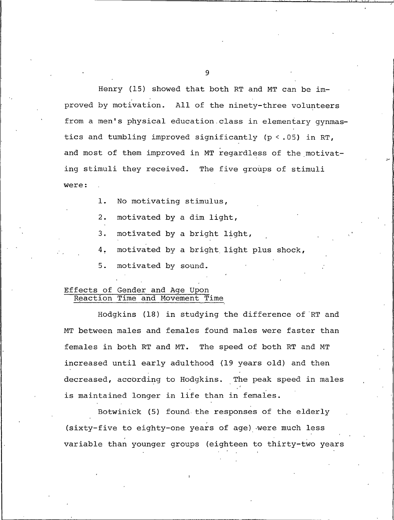Henry (15) showed that both RT and MT can be improved by motivation. All of the ninety-three volunteers from a men's physical education class in elementary gynmastics and tumbling improved significantly (p <. 05) in RT, and most of them improved in MT regardless of the motivating stimuli they received. The five groups of stimuli were:

- $1.$ No motivating stimulus,
- motivated by a dim light,  $2.$
- $3<sub>1</sub>$ motivated by a bright light,
- motivated by a bright light plus shock, 4.
- 5. motivated by sound.

#### Effects of Gender and Age Upon Reaction Time and Movement Time

Hodgkins (18) in studying the difference of RT and MT between males and females found males were faster than females in both RT and MT. The speed of both RT and MT increased until early adulthood (19 years old) and then decreased, according to Hodgkins. The peak speed in males is maintained longer in life than in females.

Botwinick (5) found the responses of the elderly (sixty-five to eighty-one years of age) were much less variable than younger groups (eighteen to thirty-two years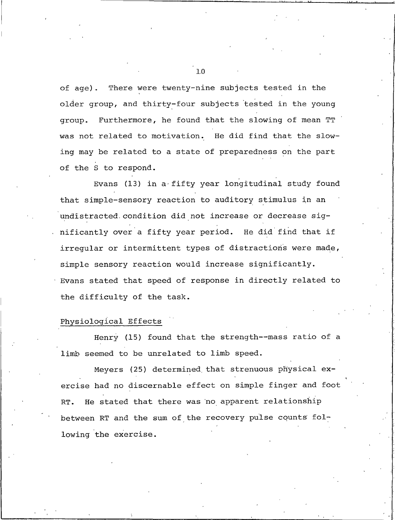There were twenty-nine subjects tested in the  $of age$ ). older group, and thirty-four subjects tested in the young Furthermore, he found that the slowing of mean TT qroup. was not related to motivation. He did find that the slowing may be related to a state of preparedness on the part of the S to respond.

Evans (13) in a fifty year longitudinal study found that simple-sensory reaction to auditory stimulus in an undistracted condition did not increase or decrease significantly over a fifty year period. He did find that if irregular or intermittent types of distractions were made, simple sensory reaction would increase significantly. Evans stated that speed of response in directly related to the difficulty of the task.

#### Physiological Effects

Henry (15) found that the strength--mass ratio of a limb seemed to be unrelated to limb speed.

Meyers (25) determined that strenuous physical exercise had no discernable effect on simple finger and foot He stated that there was no apparent relationship RT. between RT and the sum of the recovery pulse counts following the exercise.

 $1.0$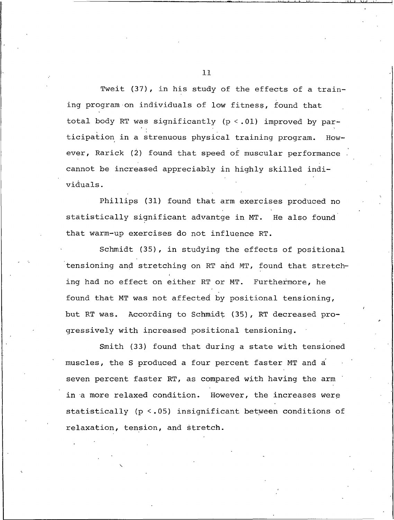Tweit (37), in his study of the effects of a training program on individuals of low fitness, found that total body RT was significantly (p <. 01) improved by participation in a strenuous physical training program. However, Rarick (2) found that speed of muscular performance cannot be increased appreciably in highly skilled individuals.

Phillips (31) found that arm exercises produced no statistically significant advantge in MT. He also found that warm-up exercises do not influence RT.

Schmidt (35), in studying the effects of positional tensioning and stretching on RT and MT, found that stretching had no effect on either RT or MT. Furthermore, he found that MT was not affected by positional tensioning, but RT was. According to Schmidt (35), RT decreased progressively with increased positional tensioning.

Smith (33) found that during a state with tensioned muscles, the S produced a four percent faster MT and a seven percent faster RT, as compared with having the arm in a more relaxed condition. However, the increases were statistically (p <.05) insignificant between conditions of relaxation, tension, and stretch.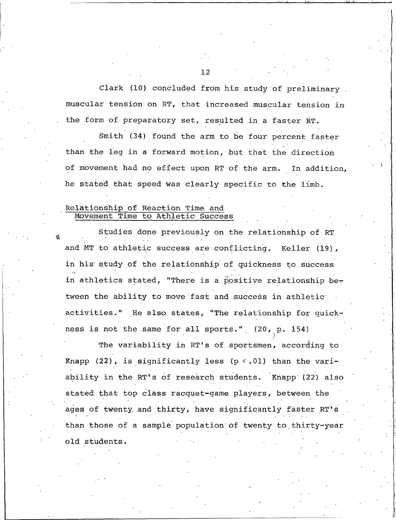Clark (10) concluded from his study of preliminary muscular tension on RT, that increased muscular tension in the form of preparatory set, resulted in a faster RT.

Smith (34) found the arm to be four percent faster than the leg in a forward motion, but that the direction of movement had no effect upon RT of the arm. In addition, he stated that speed was clearly specific to the limb.

#### Relationship of Reaction Time and Movement Time to Athletic Success

Studies done previously on the relationship of RT and MT to athletic success are conflicting. Keller (19), in his study of the relationship of quickness to success in athletics stated, "There is a positive relationship between the ability to move fast and success in athletic activities." He also states, "The relationship for quickness is not the same for all sports." (20, p. 154)

The variability in RT's of sportsmen, according to Knapp (22), is significantly less  $(p < .01)$  than the variability in the RT's of research students. Knapp (22) also stated that top class racquet-game players, between the ages of twenty and thirty, have significantly faster RT's than those of a sample population of twenty to thirty-year old students.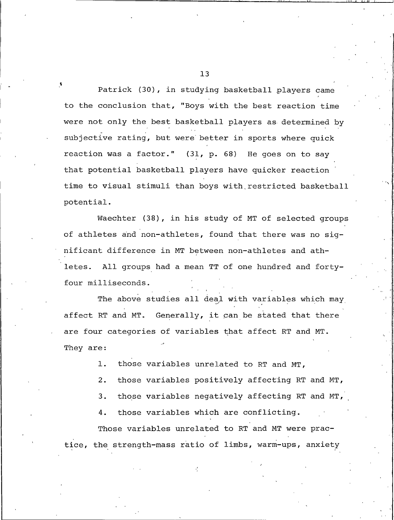Patrick (30), in studying basketball players came to the conclusion that, "Boys with the best reaction time were not only the best basketball players as determined by subjective rating, but were better in sports where quick reaction was a factor." (31, p. 68) He goes on to say that potential basketball players have quicker reaction time to visual stimuli than boys with restricted basketball potential.

Waechter (38), in his study of MT of selected groups of athletes and non-athletes, found that there was no significant difference in MT between non-athletes and ath-All groups had a mean TT of one hundred and fortyletes. four milliseconds.

The above studies all deal with variables which may affect RT and MT. Generally, it can be stated that there are four categories of variables that affect RT and MT. They are:

> those variables unrelated to RT and MT,  $\mathbf{1}$ .

 $2.$ those variables positively affecting RT and MT,

those variables negatively affecting RT and MT, 3.

those variables which are conflicting. 4.

Those variables unrelated to RT and MT were practice, the strength-mass ratio of limbs, warm-ups, anxiety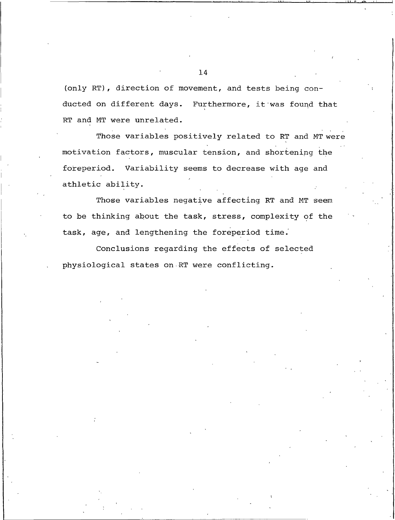(only RT), direction of movement, and tests being conducted on different days. Furthermore, it was found that RT and MT were unrelated.

Those variables positively related to RT and MT were motivation factors, muscular tension, and shortening the foreperiod. Variability seems to decrease with age and athletic ability.

Those variables negative affecting RT and MT seem to be thinking about the task, stress, complexity of the task, age, and lengthening the foreperiod time.

Conclusions regarding the effects of selected physiological states on RT were conflicting.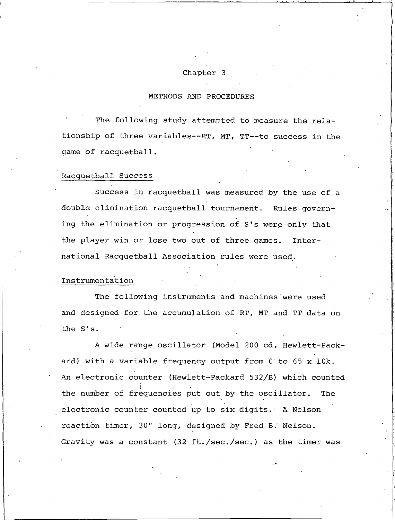#### Chapter 3

#### METHODS AND PROCEDURES

The following study attempted to measure the relationship of three variables--RT, MT, TT--to success in the game of racquetball.

#### Racquetball Success

Success in racquetball was measured by the use of a double elimination racquetball tournament. Rules governing the elimination or progression of S's were only that the player win or lose two out of three games. International Racquetball Association rules were used.

#### Instrumentation

The following instruments and machines were used and designed for the accumulation of RT, MT and TT data on the S's.

A wide range oscillator (Model 200 cd, Hewlett-Packard) with a variable frequency output from 0 to 65 x 10k. An electronic counter (Hewlett-Packard 532/B) which counted the number of frequencies put out by the oscillator. The electronic counter counted up to six digits. A Nelson reaction timer, 30" long, designed by Fred B. Nelson. Gravity was a constant (32 ft./sec./sec.) as the timer was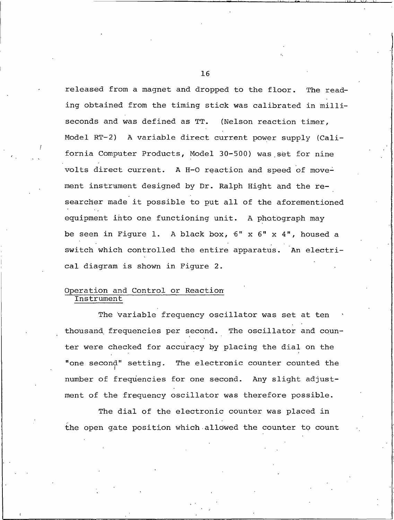released from a magnet and dropped to the floor. The reading obtained from the timing stick was calibrated in milliseconds and was defined as TT. (Nelson reaction timer, Model RT-2) A variable direct current power supply (California Computer Products, Model 30-500) was set for nine volts direct current. A H-O reaction and speed of movement instrument designed by Dr. Ralph Hight and the researcher made it possible to put all of the aforementioned equipment into one functioning unit. A photograph may be seen in Figure 1. A black box, 6" x 6" x 4", housed a switch which controlled the entire apparatus. An electrical diagram is shown in Figure 2.

#### Operation and Control or Reaction Instrument

The variable frequency oscillator was set at ten thousand frequencies per second. The oscillator and counter were checked for accuracy by placing the dial on the "one second" setting. The electronic counter counted the number of frequencies for one second. Any slight adjustment of the frequency oscillator was therefore possible.

The dial of the electronic counter was placed in the open gate position which allowed the counter to count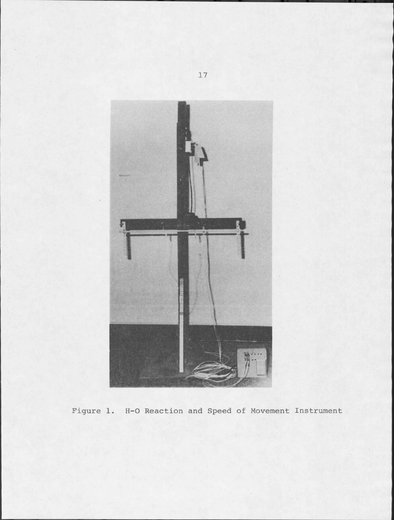

Figure 1. H-O Reaction and Speed of Movement Instrument